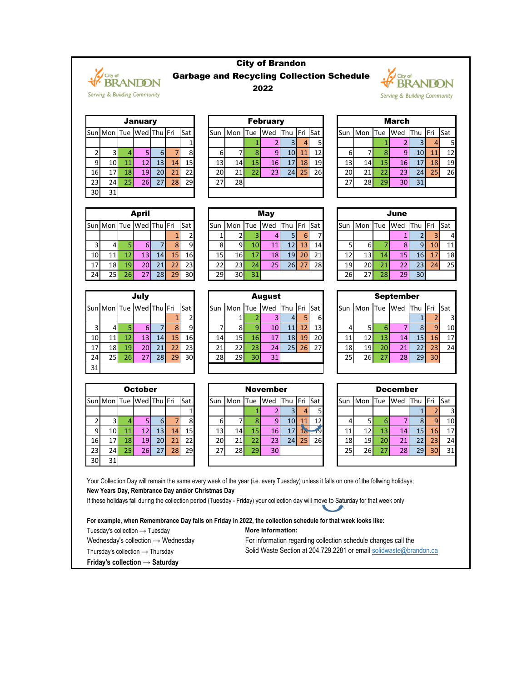

30 31

## City of Brandon Garbage and Recycling Collection Schedule 2022



Serving & Building Community

| ZUZZ            |  |
|-----------------|--|
|                 |  |
| <b>February</b> |  |

|                |                        |                 | <b>January</b> |                 |    |            |                 |         |    | <b>February</b> |             |    |    |      |         |                 | <b>March</b>    |         |           |     |
|----------------|------------------------|-----------------|----------------|-----------------|----|------------|-----------------|---------|----|-----------------|-------------|----|----|------|---------|-----------------|-----------------|---------|-----------|-----|
|                | un Mon Tue Wed Thu Fri |                 |                |                 |    | <b>Sat</b> | Sun             | Mon Tue |    | Wed             | Thu Fri Sat |    |    | lSun | Mon Tue |                 | <b>Wed</b>      | Thu Fri |           | Sat |
|                |                        |                 |                |                 |    |            |                 |         |    |                 |             |    | 51 |      |         |                 |                 |         |           |     |
|                |                        |                 |                | <b>61</b>       |    | 8          | 61              |         |    |                 | 10I         | 11 | 12 | b    |         |                 | 9               | 10I     |           | 12  |
| $\overline{9}$ | 10 <sub>l</sub>        |                 |                | 13 <sup>1</sup> | 14 | 15         | 13 <sub>l</sub> | 14I     | 15 | 16I             | 17          | 18 | 19 | 13   | 14      | 15 <sub>1</sub> | 16I             |         | <b>18</b> | 19  |
| 16             | 17 <sub>l</sub>        | 18              | <b>19</b>      | 20 <sub>l</sub> | 21 | 22         | 20              | 21      |    | 231             | 24          | 25 | 26 | 20   | 21      |                 | 23 I            | 24      | 25        | 26  |
| 23             | 24                     | 25 <sub>1</sub> | 26             | 27 <sub>l</sub> | 28 | 29         | 27 <sub>1</sub> | 28      |    |                 |             |    |    | 27   | 28      | 29              | 30 <sub>l</sub> | 31      |           |     |
| ו הכ           | 21                     |                 |                |                 |    |            |                 |         |    |                 |             |    |    |      |         |                 |                 |         |           |     |

|                 |                           |    | <b>April</b> |    |    |                |
|-----------------|---------------------------|----|--------------|----|----|----------------|
|                 | Sun Mon Tue   Wed Thu Fri |    |              |    |    | Sat            |
|                 |                           |    |              |    |    | 2 <sub>1</sub> |
| 3               |                           | 5  | 6            |    | 8  | ٩              |
| 10              | 11                        | 12 | 13           | 14 | 15 | 16             |
| 17 <sub>1</sub> | 18                        | 19 | 20           | 21 | 22 | 23             |
| 24              | 25                        | 26 | 27           | 28 | 29 | 30             |

|    |                         |    | July |    |    |     |
|----|-------------------------|----|------|----|----|-----|
|    | Sun Mon Tue Wed Thu Fri |    |      |    |    | Sat |
|    |                         |    |      |    |    | 2   |
| 3  | 4                       | 5  | 6    |    | Զ  | q   |
| 10 | 11                      | 12 | 13   | 14 | 15 | 16  |
| 17 | 18                      | 19 | 20   | 21 | 22 | 23  |
| 24 | 25                      | 26 | 27   | 28 | 29 | 30  |
| 31 |                         |    |      |    |    |     |

|    |                         |    | <b>October</b> |    |    |     |
|----|-------------------------|----|----------------|----|----|-----|
|    | Sun Mon Tue Wed Thu Fri |    |                |    |    | Sat |
|    |                         |    |                |    |    |     |
| 2  | 3                       |    | S.             | 6  |    | 8   |
| 9  | 10                      | 11 | 12             | 13 | 14 | 15  |
| 16 | 17                      | 18 | 19             | 20 | 21 | 22  |
| 23 | 24                      | 25 | 26             | 27 | 28 | 29  |
| ЗС | 31                      |    |                |    |    |     |

|     |                         |     | <b>April</b>    |    |    |             |      |         |    | <b>May</b> |             |                 |     |       |                 |     | June |                 |                 |     |
|-----|-------------------------|-----|-----------------|----|----|-------------|------|---------|----|------------|-------------|-----------------|-----|-------|-----------------|-----|------|-----------------|-----------------|-----|
|     | Sun Mon Tue Wed Thu Fri |     |                 |    |    | <b>ISat</b> | lSun | Mon Tue |    | Wed        | Thu Fri Sat |                 |     | lSun. | Mon Tue         |     | Wed  | Thu Fri         |                 | Sat |
|     |                         |     |                 |    |    |             |      |         |    |            | 51          | <sup>6</sup>    |     |       |                 |     |      |                 |                 |     |
|     |                         |     | ы               |    | 8  | 9           | 8    | 91      | 10 | 11         | 121         | 13 <sup>1</sup> | 14I |       | 6               |     | 81   | 91              | 10 <sub>l</sub> |     |
| 10  |                         | 121 | 13 I            | 14 | 15 | 16          | 15   | 16I     | 17 | <b>18</b>  | 19          | <b>20</b>       | 21  | 12I   | 13 <sub>l</sub> | 44. | 151  | 16 <sup>1</sup> | 17              |     |
| 17' | 18 I                    | 19  | 20 <sub>l</sub> | 21 | 22 | 23          | 22   | 23 I    | 24 | 25         | 26          | 27              | 28  | 19I   | 20 <sub>l</sub> |     |      | 23 <sub>l</sub> | 24              | 2   |
| 24  | 25 <sub>h</sub>         | 26  | 27I             | 28 | 29 | 30          | 29   | 30I     | 31 |            |             |                 |     | 26    | 271             |     | 29)  | 30              |                 |     |

|    |                 |                 | July            |    |    |     |     |                 |            | <b>August</b>   |                 |    |                 |     |                 |             | <b>September</b> |                 |                |     |
|----|-----------------|-----------------|-----------------|----|----|-----|-----|-----------------|------------|-----------------|-----------------|----|-----------------|-----|-----------------|-------------|------------------|-----------------|----------------|-----|
|    | Sun Mon Tue     |                 | Wed Thu Fri     |    |    | Sat | Sun | <b>Mon</b>      | <b>Tue</b> | Wed             | Thu Fri Sat     |    |                 | Sun | <b>Mon</b>      | <b>ITue</b> | Wed              | Thu             | Fri            | Sat |
|    |                 |                 |                 |    |    |     |     |                 |            |                 | 4               |    | 61              |     |                 |             |                  |                 |                |     |
|    |                 |                 | 61              |    | 8  | 9   |     | 81              |            | 10 <sub>l</sub> | 11              | 12 | 13              |     |                 |             |                  |                 | $\overline{9}$ |     |
| 10 |                 | 121             | 13 <sub>l</sub> | 14 | 15 | 16  | 14  | 15 <sub>l</sub> | 16         | 17              | 18              | 19 | 20              |     | 12 <sub>1</sub> | 13          | 14               | 15 <sub>h</sub> | 16             |     |
| 17 | 18 I            | 19              | 20I             | 21 | 22 | 23  | 21  | 22              | 23         | 24              | 25 <sub>l</sub> | 26 | 27 <sup>1</sup> | 18  | 19              | 20          | 21               | 22              | 23             |     |
| 24 | 25 <sub>1</sub> | 26 <sup>1</sup> |                 | 28 | 29 | 30  | 28  | 29 <sub>1</sub> | 30         | 31              |                 |    |                 | 25  | 26              |             | 28I              | 29              | 30             |     |
| .  |                 |                 |                 |    |    |     |     |                 |            |                 |                 |    |                 |     |                 |             |                  |                 |                |     |

|                |     |    | <b>October</b>          |     |    |     |                 |                 |    | <b>November</b> |                 |         |                 |            |     |            | <b>December</b> |                 |                 |     |
|----------------|-----|----|-------------------------|-----|----|-----|-----------------|-----------------|----|-----------------|-----------------|---------|-----------------|------------|-----|------------|-----------------|-----------------|-----------------|-----|
|                |     |    | Sun Mon Tue Wed Thu Fri |     |    | Sat | Sun             | Mon ITue        |    | <b>Wed</b>      | <b>T</b> hu     | Fri Sat |                 | <b>Sun</b> | Mon | <b>Tue</b> | <b>I</b> Wed    | Thu             | Fri             | Sat |
|                |     |    |                         |     |    |     |                 |                 |    |                 | 31              |         |                 |            |     |            |                 |                 |                 |     |
|                |     |    |                         | 6   |    | 8   | $6 \mid$        |                 |    | 9 <sub>l</sub>  | 10 <sup> </sup> | 11      | 12 <sub>l</sub> |            |     |            |                 | 8 <sup>l</sup>  |                 | 10  |
| $\overline{9}$ | 10I |    |                         | 13  | 14 | 15  | 13 <sub>l</sub> | 14 <sub>l</sub> | 15 | 16              | 17              | $18 \,$ | 19              |            |     | 13         | 14 <sub>1</sub> | 15 <sub>l</sub> | 16              | 17  |
| 16             |     | 18 | 19                      | 201 | 21 | 22  | 20 l            | 21              | 22 | 23              | 24 <sub>l</sub> | 25      | 26              | 18         | 19I | 20         | 21              | 22 I            | 23              | 24  |
| 23             | 24I | 25 | 26I                     | 27  | 28 | 29  | ភ-              | 28              | 29 | 30              |                 |         |                 | 25         | 26I | 27         | 28              | 29              | 30 <sub>l</sub> | 31  |
| 30I            | 31  |    |                         |     |    |     |                 |                 |    |                 |                 |         |                 |            |     |            |                 |                 |                 |     |

|    |                        |    | <b>April</b>    |    |    |     |      |                 |     | <b>May</b> |                 |    |     |       |         |    | June            |                 |             |            |
|----|------------------------|----|-----------------|----|----|-----|------|-----------------|-----|------------|-----------------|----|-----|-------|---------|----|-----------------|-----------------|-------------|------------|
|    | un Mon Tue Wed Thu Fri |    |                 |    |    | Sat | lSun | <b>IMon</b>     | Tue | Wed        | Thu Fri         |    | Sat | lSun. | Mon Tue |    | Wed             | Thu             | <b>IFri</b> | <b>Sat</b> |
|    |                        |    |                 |    |    |     |      |                 |     |            | 51              | 6  |     |       |         |    |                 |                 |             | 4          |
| 3  | 41                     |    | 61              |    | 8  | 9.  | 8    | 91              | 10  |            | 12 <sub>1</sub> | 13 | 14  |       | b       |    | 81              | $\overline{9}$  | 10          | 11         |
| 10 | 11                     | 12 | 131             | 14 | 15 | 16  | 15   | 16 <sup>1</sup> | 17  | 18         | 19I             | 20 | 21  | 12    | 13      | 14 | 15 <sub>l</sub> | 16I             |             | 18         |
| 17 | 18                     | 19 | 20 <sub>l</sub> | 21 | 22 | 23  | 22   | 231             | 24  | 25.        | 26              | 27 | 28  | 19    | 20      |    | 22I             | 23I             | 24          | 25         |
| 24 | 25                     | 26 | 27              | 28 | 29 | 30  | 29   | 30 <sup>1</sup> | 31  |            |                 |    |     | 26    | 27      | 28 | 29              | 30 <sup>1</sup> |             |            |

|      |                        |                 | July |                 |    |                 |                 |         |     | <b>August</b> |     |    |         |     |                 |                 | <b>September</b> |                 |                 |                 |
|------|------------------------|-----------------|------|-----------------|----|-----------------|-----------------|---------|-----|---------------|-----|----|---------|-----|-----------------|-----------------|------------------|-----------------|-----------------|-----------------|
|      | un Mon Tue Wed Thu Fri |                 |      |                 |    | Sat             | Sun             | Mon Tue |     | Wed           | Thu |    | Fri Sat | Sun | Mon             | <b>Tue</b>      | Wed              | Thu Fri         |                 | Sat             |
|      |                        |                 |      |                 |    |                 |                 |         |     |               | 41  |    | 6       |     |                 |                 |                  |                 |                 | 31              |
| 3    | 41                     |                 | 61   |                 |    | 9               |                 | 81      |     | 10            |     | 12 | 13      |     |                 | ь               |                  | 8 <sup>l</sup>  |                 | 10              |
| 10   | 11 <sub>1</sub>        | 12              | 131  | 14 <sup>1</sup> | 15 | 16 <sub>l</sub> | 14 <sub>1</sub> | 15 I    | 161 |               | 18  | 19 | 20      | 11  | 12 <sub>1</sub> | 131             | 14 <sup>1</sup>  | 15 <sub>l</sub> | 16              | 17 <sup>1</sup> |
| 17   | 18                     | 19              | 20   | 21              | 22 | 23              | 21              | 22 I    | 23. | 241           | 25I | 26 | 27      | 18  | 19              | 20 <sub>l</sub> | 21               | 22              | 23              | 24              |
| 24   | 25                     | 26 <sub>l</sub> |      | 28              | 29 | 30              | 28              | 29      | 30  | 31            |     |    |         | 25  | 26              | 27              | 28               | 29              | 30 <sub>l</sub> |                 |
| 31 I |                        |                 |      |                 |    |                 |                 |         |     |               |     |    |         |     |                 |                 |                  |                 |                 |                 |

|     |     |    | <b>December</b> |     |     |     |
|-----|-----|----|-----------------|-----|-----|-----|
| Sun | Mon |    | Tue Wed         | Thu | Fri | Sat |
|     |     |    |                 |     | 2   | 3   |
|     | 5   | 6  |                 | ጸ   |     | 10  |
| 11  | 12  | 13 | 14              | 15  | 16  | 17  |
| 18  | 19  | 20 | 21              | 22  | 23  | 24  |
| 25  | 26  | 27 | 28              | 29  | 30  | 31  |
|     |     |    |                 |     |     |     |

Your Collection Day will remain the same every week of the year (i.e. every Tuesday) unless it falls on one of the follwing holidays; **New Years Day, Rembrance Day and/or Christmas Day**

If these holidays fall during the collection period (Tuesday - Friday) your collection day will move to Saturday for that week only

**For example, when Remembrance Day falls on Friday in 2022, the collection schedule for that week looks like:** Tuesday's collection → Tuesday **More Information:** Wednesday's collection → Wednesday For information regarding collection schedule changes call the Thursday's collection → Thursday Solid Waste Section at 204.729.2281 or email solidwaste@brandon.ca **Friday's collection → Saturday**